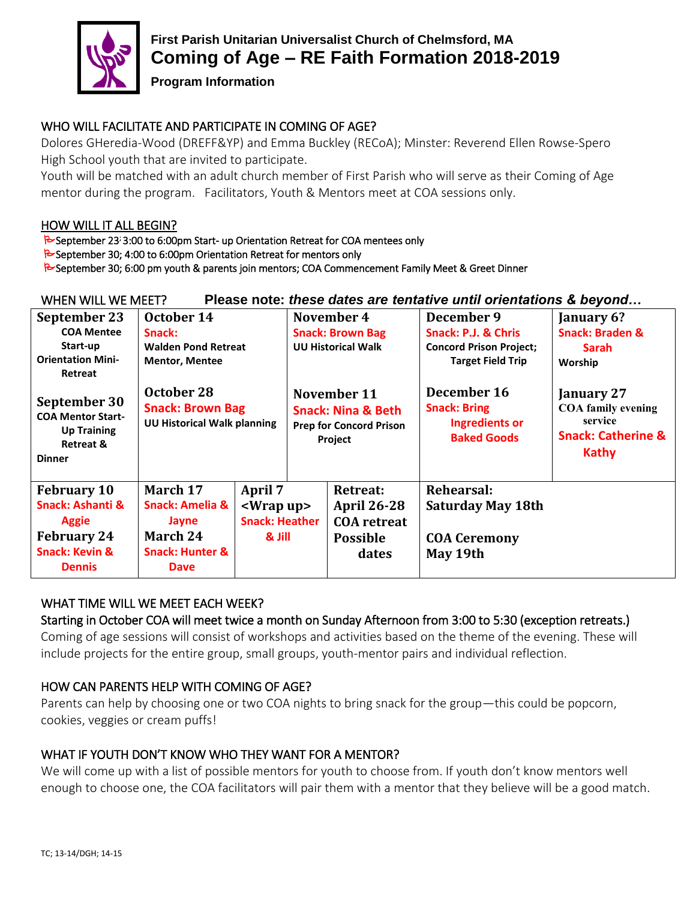

# **First Parish Unitarian Universalist Church of Chelmsford, MA Coming of Age – RE Faith Formation 2018-2019**

**Program Information**

## WHO WILL FACILITATE AND PARTICIPATE IN COMING OF AGE?

Dolores GHeredia-Wood (DREFF&YP) and Emma Buckley (RECoA); Minster: Reverend Ellen Rowse-Spero High School youth that are invited to participate.

Youth will be matched with an adult church member of First Parish who will serve as their Coming of Age mentor during the program. Facilitators, Youth & Mentors meet at COA sessions only.

#### HOW WILL IT ALL BEGIN?

September 23<sup>;</sup> 3:00 to 6:00pm Start- up Orientation Retreat for COA mentees only

September 30; 4:00 to 6:00pm Orientation Retreat for mentors only

September 30; 6:00 pm youth & parents join mentors; COA Commencement Family Meet & Greet Dinner

| Please note: these dates are tentative until orientations & beyond<br>WHEN WILL WE MEET? |                                    |                                |                                                                                           |                    |                                                                    |                               |
|------------------------------------------------------------------------------------------|------------------------------------|--------------------------------|-------------------------------------------------------------------------------------------|--------------------|--------------------------------------------------------------------|-------------------------------|
| September 23                                                                             | October 14                         |                                | November 4                                                                                |                    | December 9                                                         | January 6?                    |
| <b>COA Mentee</b>                                                                        | Snack:                             |                                | <b>Snack: Brown Bag</b>                                                                   |                    | Snack: P.J. & Chris                                                | <b>Snack: Braden &amp;</b>    |
| Start-up                                                                                 | <b>Walden Pond Retreat</b>         |                                | <b>UU Historical Walk</b>                                                                 |                    | <b>Concord Prison Project;</b>                                     | <b>Sarah</b>                  |
| <b>Orientation Mini-</b>                                                                 | <b>Mentor, Mentee</b>              |                                |                                                                                           |                    | <b>Target Field Trip</b>                                           | Worship                       |
| Retreat                                                                                  |                                    |                                |                                                                                           |                    |                                                                    |                               |
| September 30<br><b>COA Mentor Start-</b>                                                 | October 28                         |                                | November 11<br><b>Snack: Nina &amp; Beth</b><br><b>Prep for Concord Prison</b><br>Project |                    | December 16                                                        | January 27                    |
|                                                                                          | <b>Snack: Brown Bag</b>            |                                |                                                                                           |                    | <b>Snack: Bring</b><br><b>Ingredients or</b><br><b>Baked Goods</b> | <b>COA family evening</b>     |
| <b>Up Training</b>                                                                       | <b>UU Historical Walk planning</b> |                                |                                                                                           |                    |                                                                    | service                       |
| <b>Retreat &amp;</b>                                                                     |                                    |                                |                                                                                           |                    |                                                                    | <b>Snack: Catherine &amp;</b> |
| <b>Dinner</b>                                                                            |                                    |                                |                                                                                           |                    |                                                                    | Kathy                         |
|                                                                                          |                                    |                                |                                                                                           |                    |                                                                    |                               |
| <b>February 10</b>                                                                       | March 17                           | April 7<br><wrap up=""></wrap> |                                                                                           | <b>Retreat:</b>    | Rehearsal:                                                         |                               |
| Snack: Ashanti &                                                                         | <b>Snack: Amelia &amp;</b>         |                                |                                                                                           | <b>April 26-28</b> | <b>Saturday May 18th</b>                                           |                               |
| <b>Aggie</b>                                                                             | Jayne                              | <b>Snack: Heather</b>          |                                                                                           | <b>COA</b> retreat |                                                                    |                               |
| <b>February 24</b>                                                                       | March 24                           | & Jill                         |                                                                                           | <b>Possible</b>    | <b>COA Ceremony</b>                                                |                               |
| <b>Snack: Kevin &amp;</b>                                                                | <b>Snack: Hunter &amp;</b>         |                                |                                                                                           | dates              | May 19th                                                           |                               |
| <b>Dennis</b>                                                                            | <b>Dave</b>                        |                                |                                                                                           |                    |                                                                    |                               |

### WHAT TIME WILL WE MEET EACH WEEK?

#### Starting in October COA will meet twice a month on Sunday Afternoon from 3:00 to 5:30 (exception retreats.)

Coming of age sessions will consist of workshops and activities based on the theme of the evening. These will include projects for the entire group, small groups, youth-mentor pairs and individual reflection.

### HOW CAN PARENTS HELP WITH COMING OF AGE?

Parents can help by choosing one or two COA nights to bring snack for the group—this could be popcorn, cookies, veggies or cream puffs!

### WHAT IF YOUTH DON'T KNOW WHO THEY WANT FOR A MENTOR?

We will come up with a list of possible mentors for youth to choose from. If youth don't know mentors well enough to choose one, the COA facilitators will pair them with a mentor that they believe will be a good match.